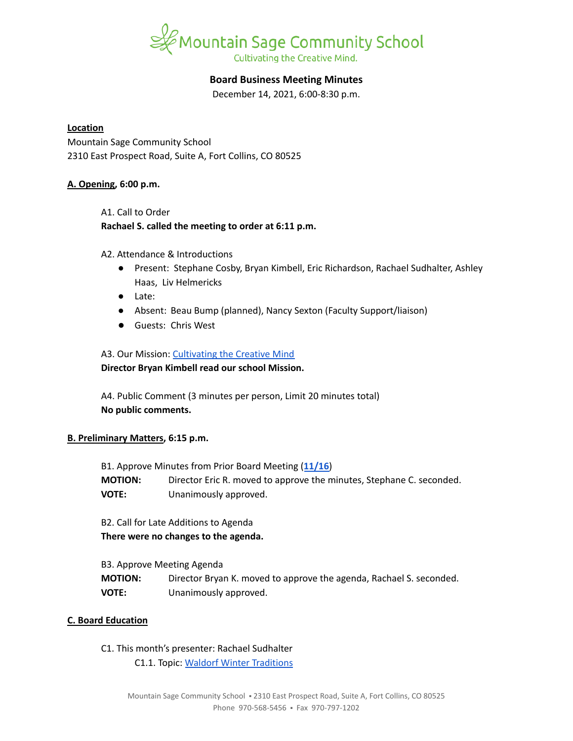

# **Board Business Meeting Minutes**

December 14, 2021, 6:00-8:30 p.m.

### **Location**

Mountain Sage Community School 2310 East Prospect Road, Suite A, Fort Collins, CO 80525

### **A. Opening, 6:00 p.m.**

A1. Call to Order **Rachael S. called the meeting to order at 6:11 p.m.**

### A2. Attendance & Introductions

- Present: Stephane Cosby, Bryan Kimbell, Eric Richardson, Rachael Sudhalter, Ashley Haas, Liv Helmericks
- Late:
- Absent: Beau Bump (planned), Nancy Sexton (Faculty Support/liaison)
- Guests: Chris West

## A3. Our Mission: [Cultivating](https://www.mountainsage.org/about-us/mission-and-vision/) the Creative Mind

## **Director Bryan Kimbell read our school Mission.**

A4. Public Comment (3 minutes per person, Limit 20 minutes total) **No public comments.**

## **B. Preliminary Matters, 6:15 p.m.**

B1. Approve Minutes from Prior Board Meeting (**[11/16](https://docs.google.com/document/d/1UWcOnVl6RAv8CdlwmMGpYr-O0sEVi4F1Zgp2dQSB3eA)**) **MOTION:** Director Eric R. moved to approve the minutes, Stephane C. seconded. **VOTE:** Unanimously approved.

B2. Call for Late Additions to Agenda

**There were no changes to the agenda.**

B3. Approve Meeting Agenda

| <b>MOTION:</b> | Director Bryan K. moved to approve the agenda, Rachael S. seconded. |
|----------------|---------------------------------------------------------------------|
| VOTE:          | Unanimously approved.                                               |

## **C. Board Education**

C1. This month's presenter: Rachael Sudhalter C1.1. Topic: Waldorf Winter [Traditions](https://docs.google.com/presentation/d/18aJ6hbf2NuGjSbTeIpcw6E8Vkfg0f_aOXkxCYzDXgDc/edit#slide=id.g1021714f9c4_0_0)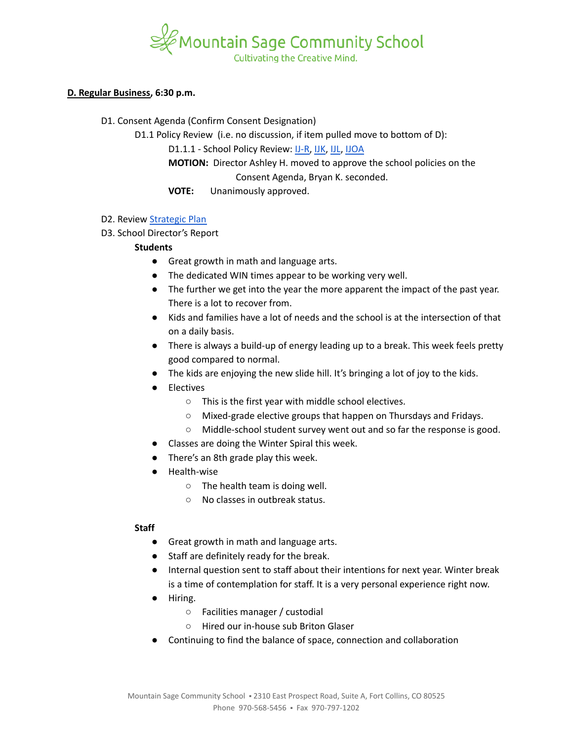

### **D. Regular Business, 6:30 p.m.**

D1. Consent Agenda (Confirm Consent Designation)

D1.1 Policy Review (i.e. no discussion, if item pulled move to bottom of D):

D1.1.1 - School Policy Review: [IJ-R,](https://drive.google.com/open?id=1VhNjJtwlQdrlMJROr1fbZQEU7ISQtJioxeUDTl28MDQ) [IJK](https://drive.google.com/open?id=1TLgQ8pYEhh1_f_wu__BLZmvFUO2x9kZgpssrFo-vxGI), [IJL](https://docs.google.com/document/d/1fRdfF8w3vnJxj2pnuuVj52xbijDI6IsGv32Nxkfshi8/edit?usp=sharing), [IJOA](https://drive.google.com/open?id=127iMJeasFSKC9cgptf53Po-Lt65l7qPxlFaFTCDx8Bc)

**MOTION:** Director Ashley H. moved to approve the school policies on the Consent Agenda, Bryan K. seconded.

**VOTE:** Unanimously approved.

- D2. Review [Strategic](https://docs.google.com/spreadsheets/d/1RR7z4DQ0Oq8Z29iw-TRpzfxcoDyemB4IFJY4Hpq8Y_k/edit?usp=sharing) Plan
- D3. School Director's Report

# **Students**

- Great growth in math and language arts.
- The dedicated WIN times appear to be working very well.
- The further we get into the year the more apparent the impact of the past year. There is a lot to recover from.
- Kids and families have a lot of needs and the school is at the intersection of that on a daily basis.
- There is always a build-up of energy leading up to a break. This week feels pretty good compared to normal.
- The kids are enjoying the new slide hill. It's bringing a lot of joy to the kids.
- **Electives** 
	- This is the first year with middle school electives.
	- Mixed-grade elective groups that happen on Thursdays and Fridays.
	- Middle-school student survey went out and so far the response is good.
- Classes are doing the Winter Spiral this week.
- There's an 8th grade play this week.
- Health-wise
	- $\circ$  The health team is doing well.
	- No classes in outbreak status.

## **Staff**

- Great growth in math and language arts.
- Staff are definitely ready for the break.
- Internal question sent to staff about their intentions for next year. Winter break is a time of contemplation for staff. It is a very personal experience right now.
- Hiring.
	- Facilities manager / custodial
	- Hired our in-house sub Briton Glaser
- Continuing to find the balance of space, connection and collaboration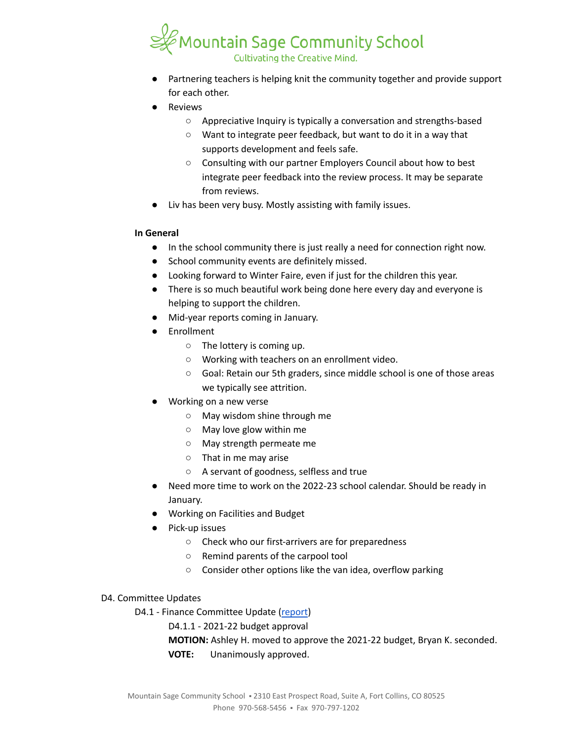

- Partnering teachers is helping knit the community together and provide support for each other.
- **Reviews** 
	- Appreciative Inquiry is typically a conversation and strengths-based
	- Want to integrate peer feedback, but want to do it in a way that supports development and feels safe.
	- Consulting with our partner Employers Council about how to best integrate peer feedback into the review process. It may be separate from reviews.
- Liv has been very busy. Mostly assisting with family issues.

## **In General**

- In the school community there is just really a need for connection right now.
- School community events are definitely missed.
- Looking forward to Winter Faire, even if just for the children this year.
- There is so much beautiful work being done here every day and everyone is helping to support the children.
- Mid-year reports coming in January.
- Enrollment
	- The lottery is coming up.
	- Working with teachers on an enrollment video.
	- Goal: Retain our 5th graders, since middle school is one of those areas we typically see attrition.
- Working on a new verse
	- May wisdom shine through me
	- May love glow within me
	- May strength permeate me
	- That in me may arise
	- A servant of goodness, selfless and true
- Need more time to work on the 2022-23 school calendar. Should be ready in January.
- Working on Facilities and Budget
- Pick-up issues
	- Check who our first-arrivers are for preparedness
	- Remind parents of the carpool tool
	- Consider other options like the van idea, overflow parking

## D4. Committee Updates

- D4.1 Finance Committee Update ([report](https://docs.google.com/document/d/1kLtSjzhRNehQwrMlr9umwD8ecu97xeYzDIPWgTnNOUE/edit?usp=sharing))
	- D4.1.1 2021-22 budget approval
	- **MOTION:** Ashley H. moved to approve the 2021-22 budget, Bryan K. seconded.
	- **VOTE:** Unanimously approved.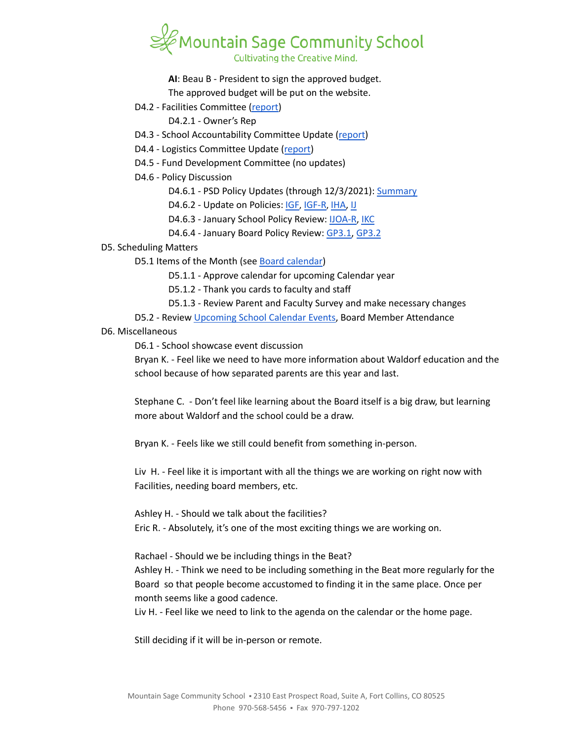

**AI**: Beau B - President to sign the approved budget.

The approved budget will be put on the website.

- D4.2 Facilities Committee [\(report\)](https://docs.google.com/document/d/14jDVaGnuBu8lEE1yYy-Coyw61KxVKASR6kdiONITq80/edit?usp=sharing)
	- D4.2.1 Owner's Rep
- D4.3 School Accountability Committee Update [\(report](https://docs.google.com/document/d/1ubbEB4CIYNrTMU37odbX4-VqKjMYiACsYZliY7R2N7E/edit?usp=sharing))
- D4.4 Logistics Committee Update ([report](https://docs.google.com/document/d/1sxQydpPYzJ0NYPMAe-qJE7toBuLuaaUIvMKBhmo96_w/edit?usp=sharing))
- D4.5 Fund Development Committee (no updates)
- D4.6 Policy Discussion
	- D4.6.1 PSD Policy Updates (through 12/3/2021): [Summary](https://docs.google.com/document/d/1sh2mIh9maSvFrwmGwjP3tAeqILyz91bPH3JWiLFNvT8)
	- D4.6.2 Update on Policies: [IGF](https://drive.google.com/open?id=1YBuMipv4-8akEC1rjji4WdzpHc0a9nuVUP8uPDaN7w8), [IGF-R](https://drive.google.com/open?id=1miaI655qSVx0mkoge_Ogf0wfQe_WHysQOHWy3E8vP_4), [IHA,](https://drive.google.com/open?id=1rMNshX07qFv68v2FzhCZDtcOTvdvQ8-phi6XyMGnv2A) [IJ](https://drive.google.com/open?id=16Apta1Nk1rBYb8051Ha-6trPXjppnsisQfkh4iU4n5I)
	- D4.6.3 January School Policy Review: [IJOA-R](https://drive.google.com/open?id=10D8cL9gSGsZ4qw0McfOHYMYGB72Y2tjHtReRjqjzPfw), [IKC](https://drive.google.com/open?id=1cgaogQY3tVvadtDpqK5bu3_PBjTILUTrKFvVYDPN50o)
	- D4.6.4 January Board Policy Review: [GP3.1,](https://docs.google.com/document/d/1NonFAZjQqrgk3QgqYytescPeinFAJlvsinSFU_gML5Q) [GP3.2](https://docs.google.com/document/d/1hnkmTRt9MDSaMV_ZQoyMefFZinry9VycskNaaV3UnGE)

#### D5. Scheduling Matters

- D5.1 Items of the Month (see Board [calendar\)](https://docs.google.com/document/d/12S6s-qevYMsnj8Cr2yw6uMO7S7hL3gz2oKvXZk5ZndQ/edit?usp=sharing)
	- D5.1.1 Approve calendar for upcoming Calendar year
	- D5.1.2 Thank you cards to faculty and staff
	- D5.1.3 Review Parent and Faculty Survey and make necessary changes
- D5.2 Review [Upcoming](https://www.mountainsage.org/calendars/) School Calendar Events, Board Member Attendance

#### D6. Miscellaneous

D6.1 - School showcase event discussion

Bryan K. - Feel like we need to have more information about Waldorf education and the school because of how separated parents are this year and last.

Stephane C. - Don't feel like learning about the Board itself is a big draw, but learning more about Waldorf and the school could be a draw.

Bryan K. - Feels like we still could benefit from something in-person.

Liv H. - Feel like it is important with all the things we are working on right now with Facilities, needing board members, etc.

Ashley H. - Should we talk about the facilities? Eric R. - Absolutely, it's one of the most exciting things we are working on.

Rachael - Should we be including things in the Beat? Ashley H. - Think we need to be including something in the Beat more regularly for the Board so that people become accustomed to finding it in the same place. Once per month seems like a good cadence.

Liv H. - Feel like we need to link to the agenda on the calendar or the home page.

Still deciding if it will be in-person or remote.